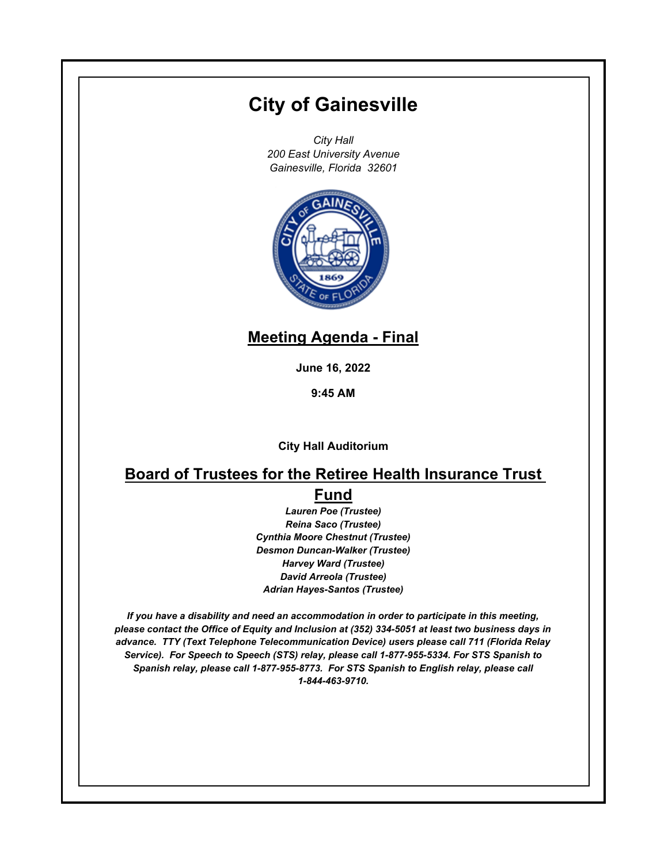# **City of Gainesville**

*City Hall 200 East University Avenue Gainesville, Florida 32601*



## **Meeting Agenda - Final**

**June 16, 2022**

**9:45 AM**

**City Hall Auditorium**

### **Board of Trustees for the Retiree Health Insurance Trust Fund**

*Lauren Poe (Trustee) Reina Saco (Trustee) Cynthia Moore Chestnut (Trustee) Desmon Duncan-Walker (Trustee) Harvey Ward (Trustee) David Arreola (Trustee) Adrian Hayes-Santos (Trustee)*

*If you have a disability and need an accommodation in order to participate in this meeting, please contact the Office of Equity and Inclusion at (352) 334-5051 at least two business days in advance. TTY (Text Telephone Telecommunication Device) users please call 711 (Florida Relay Service). For Speech to Speech (STS) relay, please call 1-877-955-5334. For STS Spanish to Spanish relay, please call 1-877-955-8773. For STS Spanish to English relay, please call 1-844-463-9710.*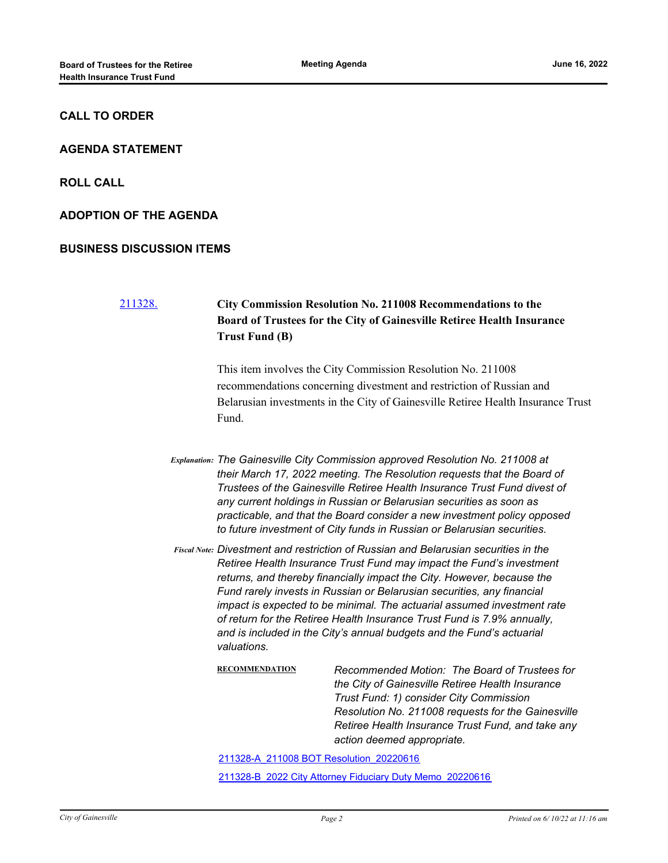#### **CALL TO ORDER**

#### **AGENDA STATEMENT**

**ROLL CALL**

**ADOPTION OF THE AGENDA**

#### **BUSINESS DISCUSSION ITEMS**

### [211328.](http://gainesville.legistar.com/gateway.aspx?m=l&id=/matter.aspx?key=34110) **City Commission Resolution No. 211008 Recommendations to the Board of Trustees for the City of Gainesville Retiree Health Insurance Trust Fund (B)**

This item involves the City Commission Resolution No. 211008 recommendations concerning divestment and restriction of Russian and Belarusian investments in the City of Gainesville Retiree Health Insurance Trust Fund.

*Explanation: The Gainesville City Commission approved Resolution No. 211008 at their March 17, 2022 meeting. The Resolution requests that the Board of Trustees of the Gainesville Retiree Health Insurance Trust Fund divest of any current holdings in Russian or Belarusian securities as soon as practicable, and that the Board consider a new investment policy opposed to future investment of City funds in Russian or Belarusian securities.*

*Divestment and restriction of Russian and Belarusian securities in the Fiscal Note: Retiree Health Insurance Trust Fund may impact the Fund's investment returns, and thereby financially impact the City. However, because the Fund rarely invests in Russian or Belarusian securities, any financial impact is expected to be minimal. The actuarial assumed investment rate of return for the Retiree Health Insurance Trust Fund is 7.9% annually, and is included in the City's annual budgets and the Fund's actuarial valuations.*

> **RECOMMENDATION** *Recommended Motion: The Board of Trustees for the City of Gainesville Retiree Health Insurance Trust Fund: 1) consider City Commission Resolution No. 211008 requests for the Gainesville Retiree Health Insurance Trust Fund, and take any action deemed appropriate.*

[211328-A\\_211008 BOT Resolution\\_20220616](http://Gainesville.legistar.com/gateway.aspx?M=F&ID=964df7a3-751b-45ae-b348-ed9aeb2cb36a.pdf)

[211328-B\\_2022 City Attorney Fiduciary Duty Memo\\_20220616](http://Gainesville.legistar.com/gateway.aspx?M=F&ID=f81e61e4-1132-4856-bcf3-eca2d9bfb33e.pdf)